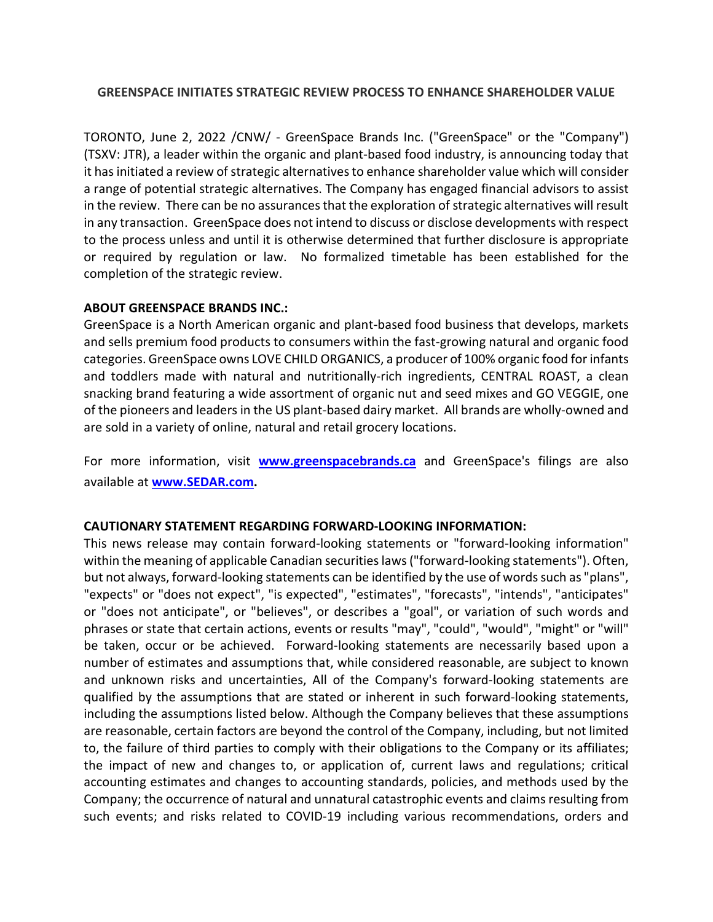## **GREENSPACE INITIATES STRATEGIC REVIEW PROCESS TO ENHANCE SHAREHOLDER VALUE**

TORONTO, June 2, 2022 /CNW/ - GreenSpace Brands Inc. ("GreenSpace" or the "Company") (TSXV: JTR), a leader within the organic and plant-based food industry, is announcing today that it has initiated a review of strategic alternatives to enhance shareholder value which will consider a range of potential strategic alternatives. The Company has engaged financial advisors to assist in the review. There can be no assurances that the exploration of strategic alternatives will result in any transaction. GreenSpace does not intend to discuss or disclose developments with respect to the process unless and until it is otherwise determined that further disclosure is appropriate or required by regulation or law. No formalized timetable has been established for the completion of the strategic review.

## **ABOUT GREENSPACE BRANDS INC.:**

GreenSpace is a North American organic and plant-based food business that develops, markets and sells premium food products to consumers within the fast-growing natural and organic food categories. GreenSpace owns LOVE CHILD ORGANICS, a producer of 100% organic food for infants and toddlers made with natural and nutritionally-rich ingredients, CENTRAL ROAST, a clean snacking brand featuring a wide assortment of organic nut and seed mixes and GO VEGGIE, one of the pioneers and leaders in the US plant-based dairy market. All brands are wholly-owned and are sold in a variety of online, natural and retail grocery locations.

For more information, visit **[www.greenspacebrands.ca](http://www.greenspacebrands.ca/)** and GreenSpace's filings are also available at **[www.SEDAR.com.](http://www.sedar.com/)**

## **CAUTIONARY STATEMENT REGARDING FORWARD-LOOKING INFORMATION:**

This news release may contain forward-looking statements or "forward-looking information" within the meaning of applicable Canadian securities laws ("forward-looking statements"). Often, but not always, forward-looking statements can be identified by the use of words such as "plans", "expects" or "does not expect", "is expected", "estimates", "forecasts", "intends", "anticipates" or "does not anticipate", or "believes", or describes a "goal", or variation of such words and phrases or state that certain actions, events or results "may", "could", "would", "might" or "will" be taken, occur or be achieved. Forward-looking statements are necessarily based upon a number of estimates and assumptions that, while considered reasonable, are subject to known and unknown risks and uncertainties, All of the Company's forward-looking statements are qualified by the assumptions that are stated or inherent in such forward-looking statements, including the assumptions listed below. Although the Company believes that these assumptions are reasonable, certain factors are beyond the control of the Company, including, but not limited to, the failure of third parties to comply with their obligations to the Company or its affiliates; the impact of new and changes to, or application of, current laws and regulations; critical accounting estimates and changes to accounting standards, policies, and methods used by the Company; the occurrence of natural and unnatural catastrophic events and claims resulting from such events; and risks related to COVID-19 including various recommendations, orders and